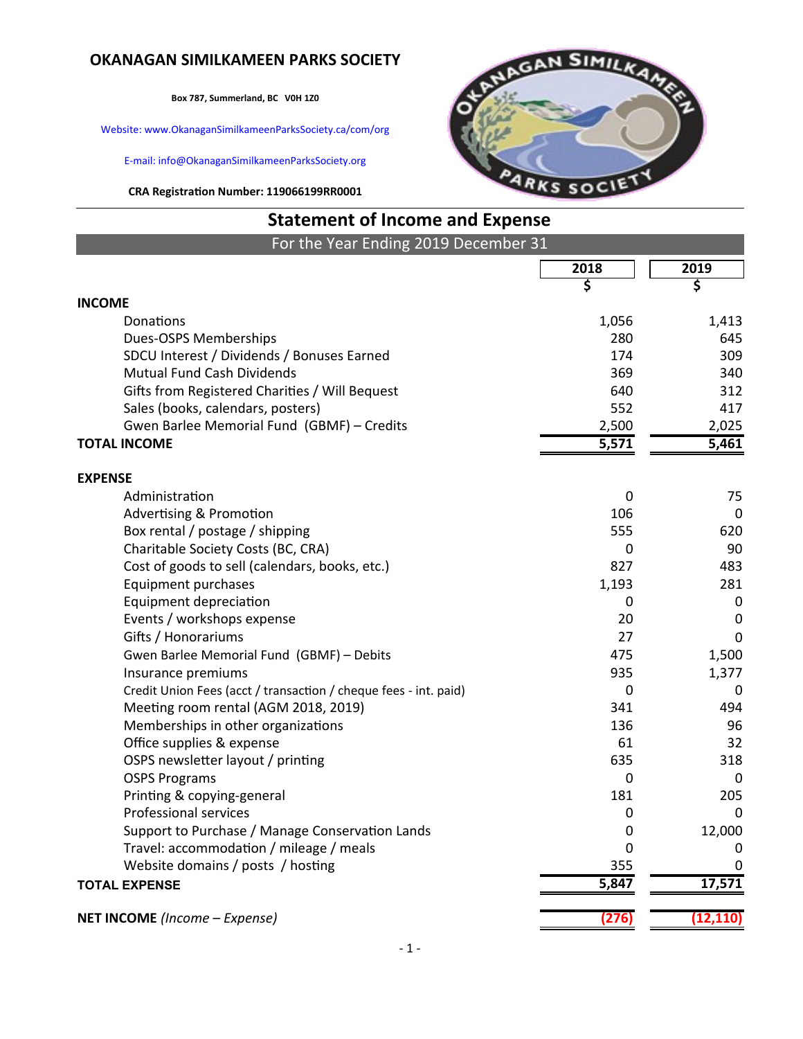### **OKANAGAN SIMILKAMEEN PARKS SOCIETY**

**Box 787, Summerland, BC V0H 1Z0**

Website: www.OkanaganSimilkameenParksSociety.ca/com/org

E-mail: info@OkanaganSimilkameenParksSociety.org

**CRA Registration Number: 119066199RR0001**



# **Statement of Income and Expense**

| For the Year Ending 2019 December 31                             |       |             |
|------------------------------------------------------------------|-------|-------------|
|                                                                  | 2018  | 2019        |
|                                                                  | \$    | \$          |
| <b>INCOME</b>                                                    |       |             |
| Donations                                                        | 1,056 | 1,413       |
| Dues-OSPS Memberships                                            | 280   | 645         |
| SDCU Interest / Dividends / Bonuses Earned                       | 174   | 309         |
| <b>Mutual Fund Cash Dividends</b>                                | 369   | 340         |
| Gifts from Registered Charities / Will Bequest                   | 640   | 312         |
| Sales (books, calendars, posters)                                | 552   | 417         |
| Gwen Barlee Memorial Fund (GBMF) - Credits                       | 2,500 | 2,025       |
| <b>TOTAL INCOME</b>                                              | 5,571 | 5,461       |
| <b>EXPENSE</b>                                                   |       |             |
| Administration                                                   | 0     | 75          |
| <b>Advertising &amp; Promotion</b>                               | 106   | $\mathbf 0$ |
| Box rental / postage / shipping                                  | 555   | 620         |
| Charitable Society Costs (BC, CRA)                               | 0     | 90          |
| Cost of goods to sell (calendars, books, etc.)                   | 827   | 483         |
| <b>Equipment purchases</b>                                       | 1,193 | 281         |
| <b>Equipment depreciation</b>                                    | 0     | 0           |
| Events / workshops expense                                       | 20    | 0           |
| Gifts / Honorariums                                              | 27    | $\mathbf 0$ |
| Gwen Barlee Memorial Fund (GBMF) - Debits                        | 475   | 1,500       |
| Insurance premiums                                               | 935   | 1,377       |
| Credit Union Fees (acct / transaction / cheque fees - int. paid) | 0     | 0           |
| Meeting room rental (AGM 2018, 2019)                             | 341   | 494         |
| Memberships in other organizations                               | 136   | 96          |
| Office supplies & expense                                        | 61    | 32          |
| OSPS newsletter layout / printing                                | 635   | 318         |
| <b>OSPS Programs</b>                                             | 0     | $\Omega$    |
| Printing & copying-general                                       | 181   | 205         |
| <b>Professional services</b>                                     | 0     | 0           |
| Support to Purchase / Manage Conservation Lands                  | 0     | 12,000      |
| Travel: accommodation / mileage / meals                          | 0     |             |
| Website domains / posts / hosting                                | 355   | $\mathbf 0$ |
| <b>TOTAL EXPENSE</b>                                             | 5,847 | 17,571      |
|                                                                  |       |             |
| NET INCOME (Income - Expense)                                    | (276) | (12, 110)   |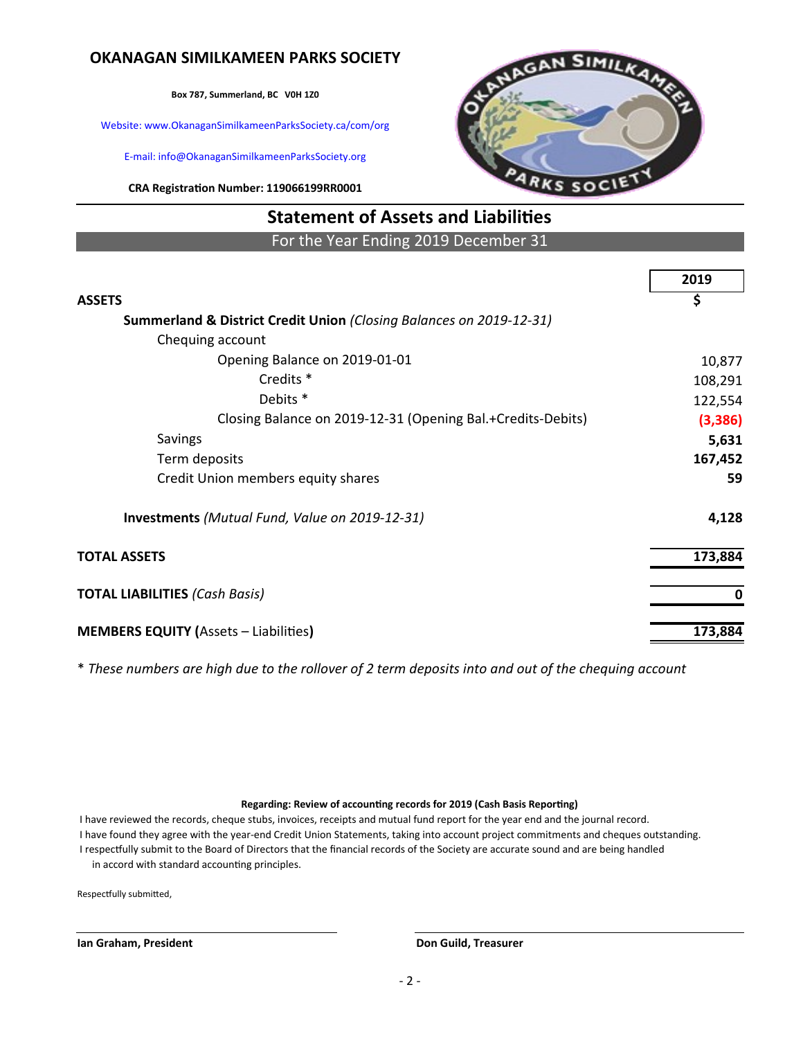# **OKANAGAN SIMILKAMEEN PARKS SOCIETY**

**Box 787, Summerland, BC V0H 1Z0**

Website: www.OkanaganSimilkameenParksSociety.ca/com/org

E-mail: info@OkanaganSimilkameenParksSociety.org

**CRA Registration Number: 119066199RR0001**



# **Statement of Assets and Liabilities**

For the Year Ending 2019 December 31

|                                                                     | 2019     |
|---------------------------------------------------------------------|----------|
| <b>ASSETS</b>                                                       | \$       |
| Summerland & District Credit Union (Closing Balances on 2019-12-31) |          |
| Chequing account                                                    |          |
| Opening Balance on 2019-01-01                                       | 10,877   |
| Credits <sup>*</sup>                                                | 108,291  |
| Debits <sup>*</sup>                                                 | 122,554  |
| Closing Balance on 2019-12-31 (Opening Bal.+Credits-Debits)         | (3, 386) |
| Savings                                                             | 5,631    |
| Term deposits                                                       | 167,452  |
| Credit Union members equity shares                                  | 59       |
| <b>Investments</b> (Mutual Fund, Value on 2019-12-31)               | 4,128    |
| <b>TOTAL ASSETS</b>                                                 | 173,884  |
| <b>TOTAL LIABILITIES (Cash Basis)</b>                               | 0        |
| <b>MEMBERS EQUITY (Assets - Liabilities)</b>                        | 173,884  |

\* *These numbers are high due to the rollover of 2 term deposits into and out of the chequing account*

#### **Regarding: Review of accounting records for 2019 (Cash Basis Reporting)**

 I have reviewed the records, cheque stubs, invoices, receipts and mutual fund report for the year end and the journal record. I have found they agree with the year-end Credit Union Statements, taking into account project commitments and cheques outstanding. I respectfully submit to the Board of Directors that the financial records of the Society are accurate sound and are being handled in accord with standard accounting principles.

Respectfully submitted,